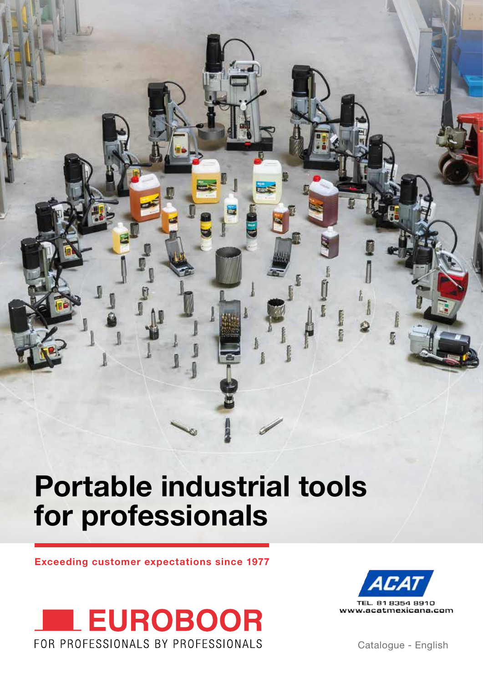

# **Portable industrial tools for professionals**

**Exceeding customer expectations since 1977**





Catalogue - English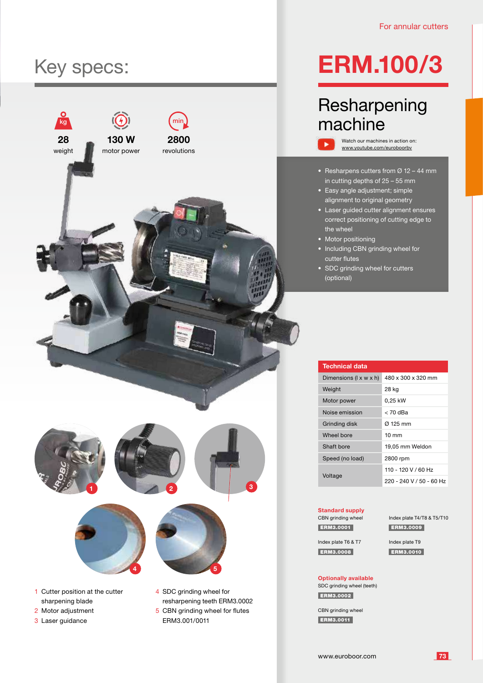### Key specs:



## **ERM.100/3**

### **Resharpening** machine

Watch our machines in action on: www.youtube.com/euroboorbv

- Resharpens cutters from  $\varnothing$  12 44 mm in cutting depths of 25 – 55 mm
- Easy angle adjustment; simple alignment to original geometry
- Laser guided cutter alignment ensures correct positioning of cutting edge to the wheel
- Motor positioning

ь

- Including CBN grinding wheel for cutter flutes
- SDC grinding wheel for cutters (optional)

| <b>Technical data</b>              |                          |
|------------------------------------|--------------------------|
| Dimensions $(l \times w \times h)$ | 480 x 300 x 320 mm       |
| Weight                             | 28 kg                    |
| Motor power                        | 0,25 kW                  |
| Noise emission                     | < 70 dBa                 |
| Grinding disk                      | Ø 125 mm                 |
| Wheel bore                         | $10 \text{ mm}$          |
| Shaft bore                         | 19,05 mm Weldon          |
| Speed (no load)                    | 2800 rpm                 |
| Voltage                            | 110 - 120 V / 60 Hz      |
|                                    | 220 - 240 V / 50 - 60 Hz |

#### **Standard supply** CBN grinding wheel ERM3.0001

Index plate T4/T8 & T5/T10 ERM3.0009

Index plate T6 & T7 ERM3.0008

Index plate T9 ERM3.0010

#### **Optionally available** SDC grinding wheel (teeth)

ERM3.0002

CBN grinding wheel ERM3.0011